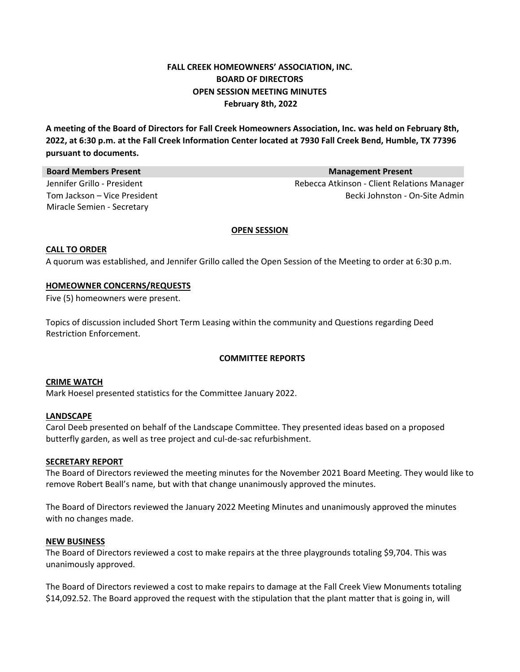# **FALL CREEK HOMEOWNERS' ASSOCIATION, INC. BOARD OF DIRECTORS OPEN SESSION MEETING MINUTES February 8th, 2022**

A meeting of the Board of Directors for Fall Creek Homeowners Association, Inc. was held on February 8th, 2022, at 6:30 p.m. at the Fall Creek Information Center located at 7930 Fall Creek Bend, Humble, TX 77396 **pursuant to documents.**

| <b>Board Members Present</b> | <b>Management Present</b>                   |
|------------------------------|---------------------------------------------|
| Jennifer Grillo - President  | Rebecca Atkinson - Client Relations Manager |
| Tom Jackson - Vice President | Becki Johnston - On-Site Admin              |
| Miracle Semien - Secretary   |                                             |

#### **OPEN SESSION**

## **CALL TO ORDER**

A quorum was established, and Jennifer Grillo called the Open Session of the Meeting to order at 6:30 p.m.

## **HOMEOWNER CONCERNS/REQUESTS**

Five (5) homeowners were present.

Topics of discussion included Short Term Leasing within the community and Questions regarding Deed Restriction Enforcement.

## **COMMITTEE REPORTS**

## **CRIME WATCH**

Mark Hoesel presented statistics for the Committee January 2022.

## **LANDSCAPE**

Carol Deeb presented on behalf of the Landscape Committee. They presented ideas based on a proposed butterfly garden, as well as tree project and cul‐de‐sac refurbishment.

## **SECRETARY REPORT**

The Board of Directors reviewed the meeting minutes for the November 2021 Board Meeting. They would like to remove Robert Beall's name, but with that change unanimously approved the minutes.

The Board of Directors reviewed the January 2022 Meeting Minutes and unanimously approved the minutes with no changes made.

#### **NEW BUSINESS**

The Board of Directors reviewed a cost to make repairs at the three playgrounds totaling \$9,704. This was unanimously approved.

The Board of Directors reviewed a cost to make repairs to damage at the Fall Creek View Monuments totaling \$14,092.52. The Board approved the request with the stipulation that the plant matter that is going in, will